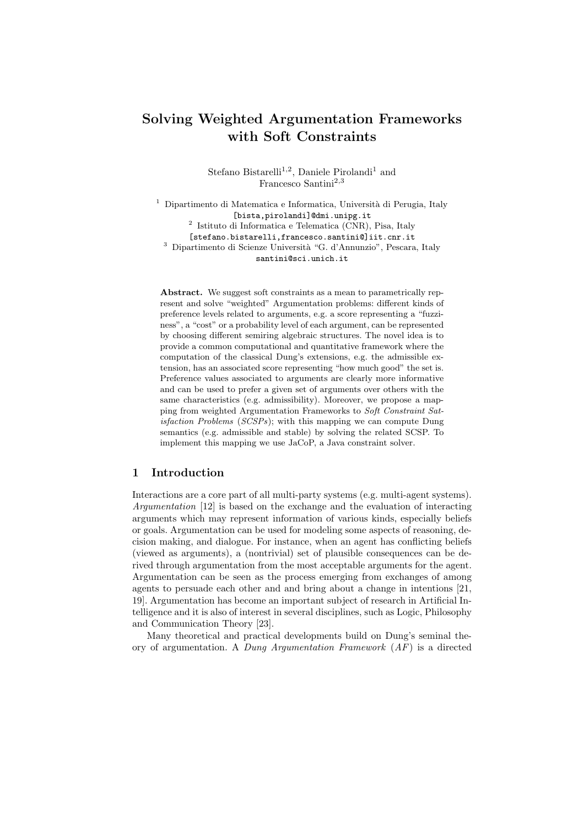# Solving Weighted Argumentation Frameworks with Soft Constraints

Stefano Bistarelli<sup>1,2</sup>, Daniele Pirolandi<sup>1</sup> and Francesco Santini<sup>2</sup>,<sup>3</sup>

<sup>1</sup> Dipartimento di Matematica e Informatica, Università di Perugia, Italy [bista,pirolandi]@dmi.unipg.it 2 Istituto di Informatica e Telematica (CNR), Pisa, Italy [stefano.bistarelli,francesco.santini@]iit.cnr.it <sup>3</sup> Dipartimento di Scienze Università "G. d'Annunzio", Pescara, Italy santini@sci.unich.it

Abstract. We suggest soft constraints as a mean to parametrically represent and solve "weighted" Argumentation problems: different kinds of preference levels related to arguments, e.g. a score representing a "fuzziness", a "cost" or a probability level of each argument, can be represented by choosing different semiring algebraic structures. The novel idea is to provide a common computational and quantitative framework where the computation of the classical Dung's extensions, e.g. the admissible extension, has an associated score representing "how much good" the set is. Preference values associated to arguments are clearly more informative and can be used to prefer a given set of arguments over others with the same characteristics (e.g. admissibility). Moreover, we propose a mapping from weighted Argumentation Frameworks to Soft Constraint Satisfaction Problems (SCSPs); with this mapping we can compute Dung semantics (e.g. admissible and stable) by solving the related SCSP. To implement this mapping we use JaCoP, a Java constraint solver.

# 1 Introduction

Interactions are a core part of all multi-party systems (e.g. multi-agent systems). Argumentation [12] is based on the exchange and the evaluation of interacting arguments which may represent information of various kinds, especially beliefs or goals. Argumentation can be used for modeling some aspects of reasoning, decision making, and dialogue. For instance, when an agent has conflicting beliefs (viewed as arguments), a (nontrivial) set of plausible consequences can be derived through argumentation from the most acceptable arguments for the agent. Argumentation can be seen as the process emerging from exchanges of among agents to persuade each other and and bring about a change in intentions [21, 19]. Argumentation has become an important subject of research in Artificial Intelligence and it is also of interest in several disciplines, such as Logic, Philosophy and Communication Theory [23].

Many theoretical and practical developments build on Dung's seminal theory of argumentation. A Dung Argumentation Framework  $(AF)$  is a directed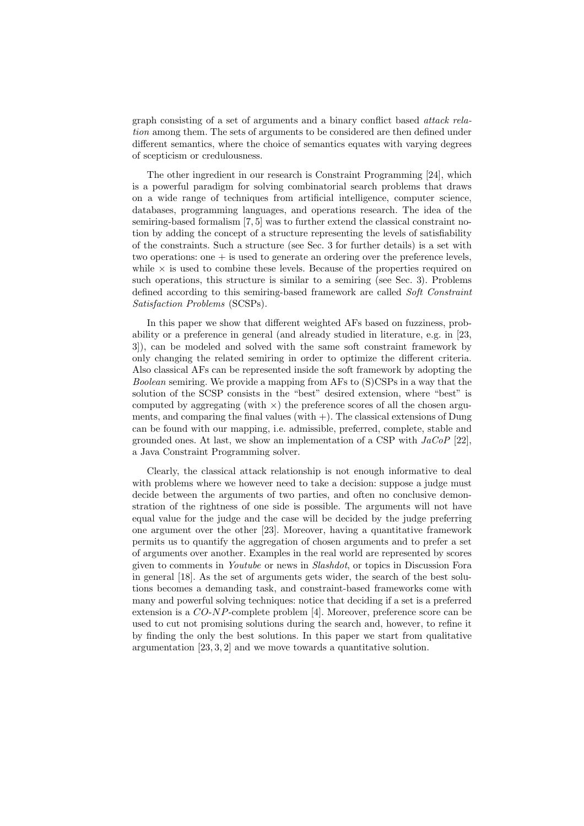graph consisting of a set of arguments and a binary conflict based attack relation among them. The sets of arguments to be considered are then defined under different semantics, where the choice of semantics equates with varying degrees of scepticism or credulousness.

The other ingredient in our research is Constraint Programming [24], which is a powerful paradigm for solving combinatorial search problems that draws on a wide range of techniques from artificial intelligence, computer science, databases, programming languages, and operations research. The idea of the semiring-based formalism [7, 5] was to further extend the classical constraint notion by adding the concept of a structure representing the levels of satisfiability of the constraints. Such a structure (see Sec. 3 for further details) is a set with two operations: one  $+$  is used to generate an ordering over the preference levels, while  $\times$  is used to combine these levels. Because of the properties required on such operations, this structure is similar to a semiring (see Sec. 3). Problems defined according to this semiring-based framework are called Soft Constraint Satisfaction Problems (SCSPs).

In this paper we show that different weighted AFs based on fuzziness, probability or a preference in general (and already studied in literature, e.g. in [23, 3]), can be modeled and solved with the same soft constraint framework by only changing the related semiring in order to optimize the different criteria. Also classical AFs can be represented inside the soft framework by adopting the Boolean semiring. We provide a mapping from AFs to (S)CSPs in a way that the solution of the SCSP consists in the "best" desired extension, where "best" is computed by aggregating (with  $\times$ ) the preference scores of all the chosen arguments, and comparing the final values (with  $+)$ . The classical extensions of Dung can be found with our mapping, i.e. admissible, preferred, complete, stable and grounded ones. At last, we show an implementation of a CSP with  $JacOP$  [22], a Java Constraint Programming solver.

Clearly, the classical attack relationship is not enough informative to deal with problems where we however need to take a decision: suppose a judge must decide between the arguments of two parties, and often no conclusive demonstration of the rightness of one side is possible. The arguments will not have equal value for the judge and the case will be decided by the judge preferring one argument over the other [23]. Moreover, having a quantitative framework permits us to quantify the aggregation of chosen arguments and to prefer a set of arguments over another. Examples in the real world are represented by scores given to comments in Youtube or news in Slashdot, or topics in Discussion Fora in general [18]. As the set of arguments gets wider, the search of the best solutions becomes a demanding task, and constraint-based frameworks come with many and powerful solving techniques: notice that deciding if a set is a preferred extension is a  $CO-NP$ -complete problem [4]. Moreover, preference score can be used to cut not promising solutions during the search and, however, to refine it by finding the only the best solutions. In this paper we start from qualitative argumentation [23, 3, 2] and we move towards a quantitative solution.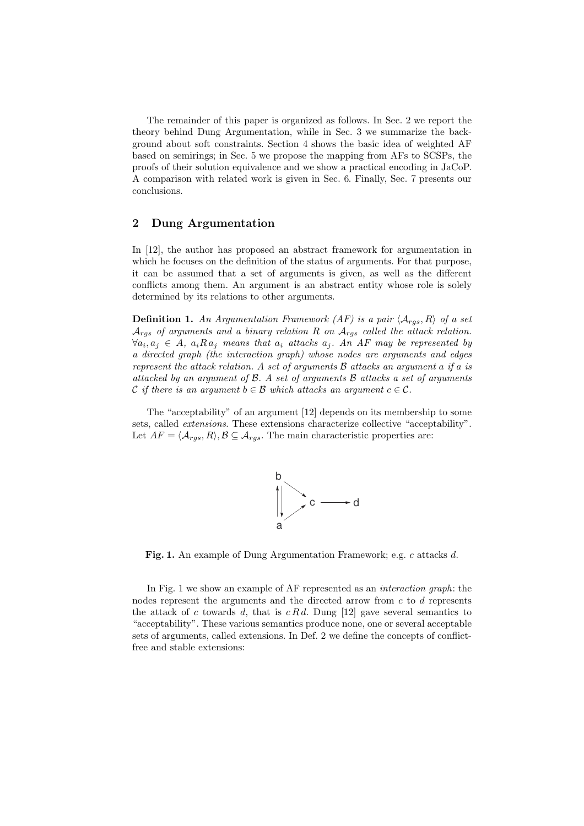The remainder of this paper is organized as follows. In Sec. 2 we report the theory behind Dung Argumentation, while in Sec. 3 we summarize the background about soft constraints. Section 4 shows the basic idea of weighted AF based on semirings; in Sec. 5 we propose the mapping from AFs to SCSPs, the proofs of their solution equivalence and we show a practical encoding in JaCoP. A comparison with related work is given in Sec. 6. Finally, Sec. 7 presents our conclusions.

# 2 Dung Argumentation

In [12], the author has proposed an abstract framework for argumentation in which he focuses on the definition of the status of arguments. For that purpose, it can be assumed that a set of arguments is given, as well as the different conflicts among them. An argument is an abstract entity whose role is solely determined by its relations to other arguments.

**Definition 1.** An Argumentation Framework (AF) is a pair  $\langle A_{rgs}, R \rangle$  of a set  $A_{rgs}$  of arguments and a binary relation R on  $A_{rgs}$  called the attack relation.  $\forall a_i, a_j \in A$ ,  $a_i R a_j$  means that  $a_i$  attacks  $a_j$ . An AF may be represented by a directed graph (the interaction graph) whose nodes are arguments and edges represent the attack relation. A set of arguments  $\mathcal B$  attacks an argument a if a is attacked by an argument of  $\beta$ . A set of arguments  $\beta$  attacks a set of arguments C if there is an argument  $b \in \mathcal{B}$  which attacks an argument  $c \in \mathcal{C}$ .

The "acceptability" of an argument [12] depends on its membership to some sets, called extensions. These extensions characterize collective "acceptability". Let  $AF = \langle A_{rqs}, R \rangle, \mathcal{B} \subseteq \mathcal{A}_{rqs}$ . The main characteristic properties are:



Fig. 1. An example of Dung Argumentation Framework; e.g. c attacks d.

In Fig. 1 we show an example of AF represented as an interaction graph: the nodes represent the arguments and the directed arrow from  $c$  to  $d$  represents the attack of c towards d, that is  $c R d$ . Dung [12] gave several semantics to "acceptability". These various semantics produce none, one or several acceptable sets of arguments, called extensions. In Def. 2 we define the concepts of conflictfree and stable extensions: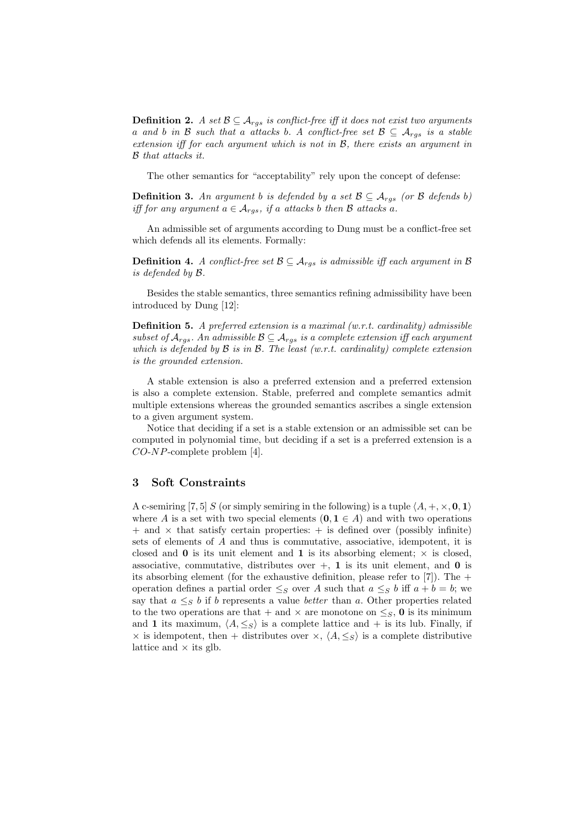**Definition 2.** A set  $\mathcal{B} \subseteq \mathcal{A}_{rgs}$  is conflict-free iff it does not exist two arguments a and b in B such that a attacks b. A conflict-free set  $\mathcal{B} \subseteq \mathcal{A}_{rgs}$  is a stable extension iff for each argument which is not in B, there exists an argument in B that attacks it.

The other semantics for "acceptability" rely upon the concept of defense:

**Definition 3.** An argument b is defended by a set  $\mathcal{B} \subseteq \mathcal{A}_{rgs}$  (or  $\mathcal{B}$  defends b) iff for any argument  $a \in \mathcal{A}_{rgs}$ , if a attacks b then  $\mathcal B$  attacks a.

An admissible set of arguments according to Dung must be a conflict-free set which defends all its elements. Formally:

**Definition 4.** A conflict-free set  $\mathcal{B} \subseteq \mathcal{A}_{\text{ras}}$  is admissible iff each argument in  $\mathcal{B}$ is defended by B.

Besides the stable semantics, three semantics refining admissibility have been introduced by Dung [12]:

**Definition 5.** A preferred extension is a maximal (w.r.t. cardinality) admissible subset of  $A_{ras}$ . An admissible  $\mathcal{B} \subseteq A_{ras}$  is a complete extension iff each argument which is defended by  $\beta$  is in  $\beta$ . The least (w.r.t. cardinality) complete extension is the grounded extension.

A stable extension is also a preferred extension and a preferred extension is also a complete extension. Stable, preferred and complete semantics admit multiple extensions whereas the grounded semantics ascribes a single extension to a given argument system.

Notice that deciding if a set is a stable extension or an admissible set can be computed in polynomial time, but deciding if a set is a preferred extension is a CO-NP-complete problem [4].

#### 3 Soft Constraints

A c-semiring [7, 5] S (or simply semiring in the following) is a tuple  $\langle A, +, \times, \mathbf{0}, \mathbf{1} \rangle$ where A is a set with two special elements  $(0, 1 \in A)$  and with two operations  $+$  and  $\times$  that satisfy certain properties:  $+$  is defined over (possibly infinite) sets of elements of A and thus is commutative, associative, idempotent, it is closed and  $\bf{0}$  is its unit element and  $\bf{1}$  is its absorbing element;  $\times$  is closed, associative, commutative, distributes over  $+$ , 1 is its unit element, and 0 is its absorbing element (for the exhaustive definition, please refer to [7]). The  $+$ operation defines a partial order  $\leq_S$  over A such that  $a \leq_S b$  iff  $a + b = b$ ; we say that  $a \leq_S b$  if b represents a value better than a. Other properties related to the two operations are that + and  $\times$  are monotone on  $\leq_S$ , **0** is its minimum and 1 its maximum,  $\langle A, \leq_S \rangle$  is a complete lattice and + is its lub. Finally, if  $\times$  is idempotent, then + distributes over  $\times$ ,  $\langle A, \leq_S \rangle$  is a complete distributive lattice and  $\times$  its glb.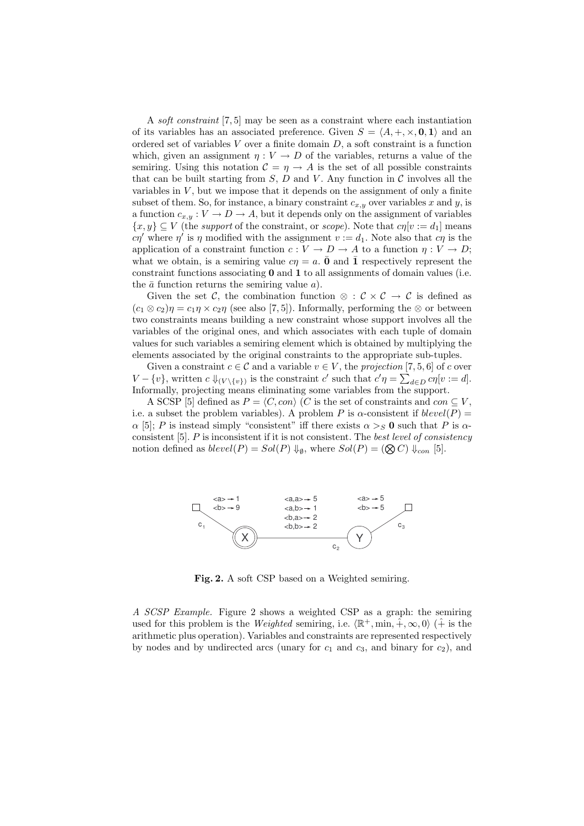A soft constraint [7, 5] may be seen as a constraint where each instantiation of its variables has an associated preference. Given  $S = \langle A, +, \times, \mathbf{0}, \mathbf{1} \rangle$  and an ordered set of variables  $V$  over a finite domain  $D$ , a soft constraint is a function which, given an assignment  $\eta: V \to D$  of the variables, returns a value of the semiring. Using this notation  $\mathcal{C} = \eta \to A$  is the set of all possible constraints that can be built starting from  $S, D$  and  $V$ . Any function in  $C$  involves all the variables in  $V$ , but we impose that it depends on the assignment of only a finite subset of them. So, for instance, a binary constraint  $c_{x,y}$  over variables x and y, is a function  $c_{x,y}: V \to D \to A$ , but it depends only on the assignment of variables  $\{x, y\} \subseteq V$  (the support of the constraint, or scope). Note that  $c\eta[v := d_1]$  means c $\eta'$  where  $\eta'$  is  $\eta$  modified with the assignment  $v := d_1$ . Note also that  $c\eta$  is the application of a constraint function  $c: V \to D \to A$  to a function  $\eta: V \to D$ ; what we obtain, is a semiring value  $c\eta = a$ .  $\bar{0}$  and  $\bar{1}$  respectively represent the constraint functions associating 0 and 1 to all assignments of domain values (i.e. the  $\bar{a}$  function returns the semiring value  $a$ ).

Given the set C, the combination function  $\otimes$  :  $\mathcal{C} \times \mathcal{C} \rightarrow \mathcal{C}$  is defined as  $(c_1 \otimes c_2)\eta = c_1\eta \times c_2\eta$  (see also [7, 5]). Informally, performing the  $\otimes$  or between two constraints means building a new constraint whose support involves all the variables of the original ones, and which associates with each tuple of domain values for such variables a semiring element which is obtained by multiplying the elements associated by the original constraints to the appropriate sub-tuples.

Given a constraint  $c \in \mathcal{C}$  and a variable  $v \in V$ , the projection [7, 5, 6] of c over  $V - \{v\}$ , written  $c \Downarrow_{(V \setminus \{v\})}$  is the constraint  $c'$  such that  $c'\eta = \sum_{d \in D} c\eta[v := d]$ . Informally, projecting means eliminating some variables from the support.

A SCSP [5] defined as  $P = \langle C, con \rangle$  (C is the set of constraints and con  $\subseteq V$ , i.e. a subset the problem variables). A problem P is  $\alpha$ -consistent if  $blevel(P) =$  $\alpha$  [5]; P is instead simply "consistent" iff there exists  $\alpha >_{S} 0$  such that P is  $\alpha$ consistent [5].  $P$  is inconsistent if it is not consistent. The best level of consistency notion defined as  $blevel(P) = Sol(P) \Downarrow_{\emptyset}$ , where  $Sol(P) = (\bigotimes C) \Downarrow_{con} [5]$ .



Fig. 2. A soft CSP based on a Weighted semiring.

A SCSP Example. Figure 2 shows a weighted CSP as a graph: the semiring used for this problem is the Weighted semiring, i.e.  $\langle \mathbb{R}^+, \min, \hat{+}, \infty, 0 \rangle$  ( $\hat{+}$  is the arithmetic plus operation). Variables and constraints are represented respectively by nodes and by undirected arcs (unary for  $c_1$  and  $c_3$ , and binary for  $c_2$ ), and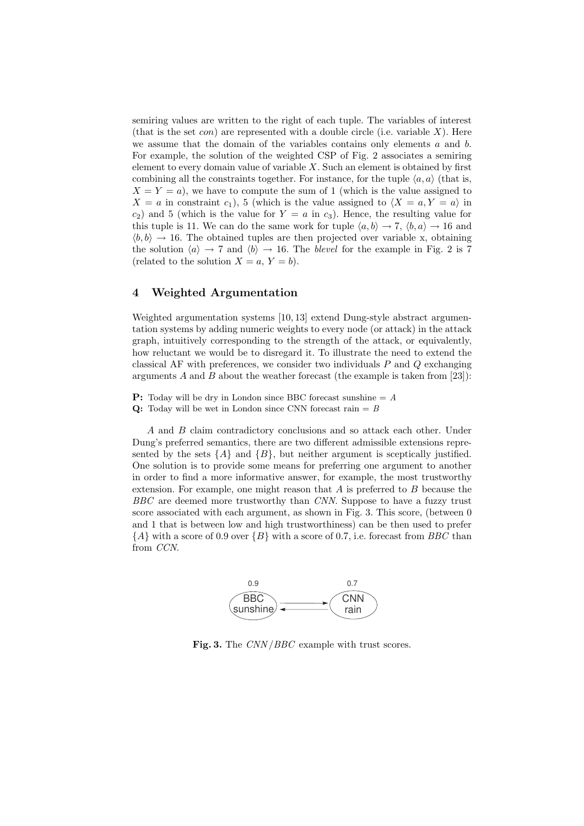semiring values are written to the right of each tuple. The variables of interest (that is the set  $con$ ) are represented with a double circle (i.e. variable X). Here we assume that the domain of the variables contains only elements  $a$  and  $b$ . For example, the solution of the weighted CSP of Fig. 2 associates a semiring element to every domain value of variable  $X$ . Such an element is obtained by first combining all the constraints together. For instance, for the tuple  $\langle a, a \rangle$  (that is,  $X = Y = a$ , we have to compute the sum of 1 (which is the value assigned to  $X = a$  in constraint  $c_1$ ), 5 (which is the value assigned to  $\langle X = a, Y = a \rangle$  in  $c_2$ ) and 5 (which is the value for  $Y = a$  in  $c_3$ ). Hence, the resulting value for this tuple is 11. We can do the same work for tuple  $\langle a, b \rangle \rightarrow 7, \langle b, a \rangle \rightarrow 16$  and  $\langle b, b \rangle \rightarrow 16$ . The obtained tuples are then projected over variable x, obtaining the solution  $\langle a \rangle \rightarrow 7$  and  $\langle b \rangle \rightarrow 16$ . The *blevel* for the example in Fig. 2 is 7 (related to the solution  $X = a, Y = b$ ).

# 4 Weighted Argumentation

Weighted argumentation systems [10, 13] extend Dung-style abstract argumentation systems by adding numeric weights to every node (or attack) in the attack graph, intuitively corresponding to the strength of the attack, or equivalently, how reluctant we would be to disregard it. To illustrate the need to extend the classical AF with preferences, we consider two individuals  $P$  and  $Q$  exchanging arguments  $A$  and  $B$  about the weather forecast (the example is taken from [23]):

**P:** Today will be dry in London since BBC forecast sunshine  $= A$ **Q:** Today will be wet in London since CNN forecast rain  $=$  B

A and B claim contradictory conclusions and so attack each other. Under Dung's preferred semantics, there are two different admissible extensions represented by the sets  $\{A\}$  and  $\{B\}$ , but neither argument is sceptically justified. One solution is to provide some means for preferring one argument to another in order to find a more informative answer, for example, the most trustworthy extension. For example, one might reason that  $A$  is preferred to  $B$  because the BBC are deemed more trustworthy than CNN. Suppose to have a fuzzy trust score associated with each argument, as shown in Fig. 3. This score, (between 0) and 1 that is between low and high trustworthiness) can be then used to prefer  ${A}$  with a score of 0.9 over  ${B}$  with a score of 0.7, i.e. forecast from BBC than from CCN.



Fig. 3. The  $CNN/BBC$  example with trust scores.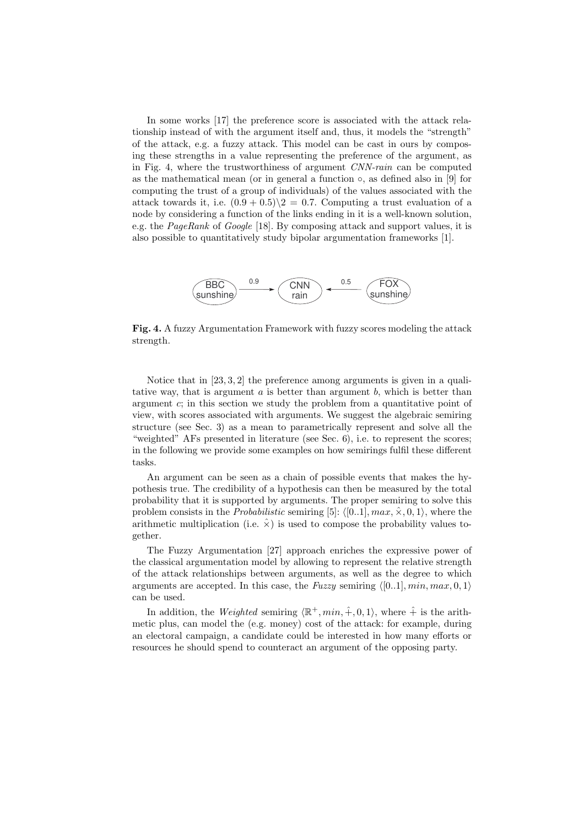In some works [17] the preference score is associated with the attack relationship instead of with the argument itself and, thus, it models the "strength" of the attack, e.g. a fuzzy attack. This model can be cast in ours by composing these strengths in a value representing the preference of the argument, as in Fig. 4, where the trustworthiness of argument CNN-rain can be computed as the mathematical mean (or in general a function  $\circ$ , as defined also in [9] for computing the trust of a group of individuals) of the values associated with the attack towards it, i.e.  $(0.9 + 0.5)$   $\langle 2 = 0.7$ . Computing a trust evaluation of a node by considering a function of the links ending in it is a well-known solution, e.g. the PageRank of Google [18]. By composing attack and support values, it is also possible to quantitatively study bipolar argumentation frameworks [1].



Fig. 4. A fuzzy Argumentation Framework with fuzzy scores modeling the attack strength.

Notice that in [23, 3, 2] the preference among arguments is given in a qualitative way, that is argument  $a$  is better than argument  $b$ , which is better than argument  $c$ ; in this section we study the problem from a quantitative point of view, with scores associated with arguments. We suggest the algebraic semiring structure (see Sec. 3) as a mean to parametrically represent and solve all the "weighted" AFs presented in literature (see Sec. 6), i.e. to represent the scores; in the following we provide some examples on how semirings fulfil these different tasks.

An argument can be seen as a chain of possible events that makes the hypothesis true. The credibility of a hypothesis can then be measured by the total probability that it is supported by arguments. The proper semiring to solve this problem consists in the *Probabilistic* semiring [5]:  $\langle [0..1], \max, \hat{\times}, 0, 1 \rangle$ , where the arithmetic multiplication (i.e.  $\hat{x}$ ) is used to compose the probability values together.

The Fuzzy Argumentation [27] approach enriches the expressive power of the classical argumentation model by allowing to represent the relative strength of the attack relationships between arguments, as well as the degree to which arguments are accepted. In this case, the Fuzzy semiring  $\langle [0..1], min, max, 0, 1 \rangle$ can be used.

In addition, the Weighted semiring  $\langle \mathbb{R}^+, min, \hat{+}, 0, 1 \rangle$ , where  $\hat{+}$  is the arithmetic plus, can model the (e.g. money) cost of the attack: for example, during an electoral campaign, a candidate could be interested in how many efforts or resources he should spend to counteract an argument of the opposing party.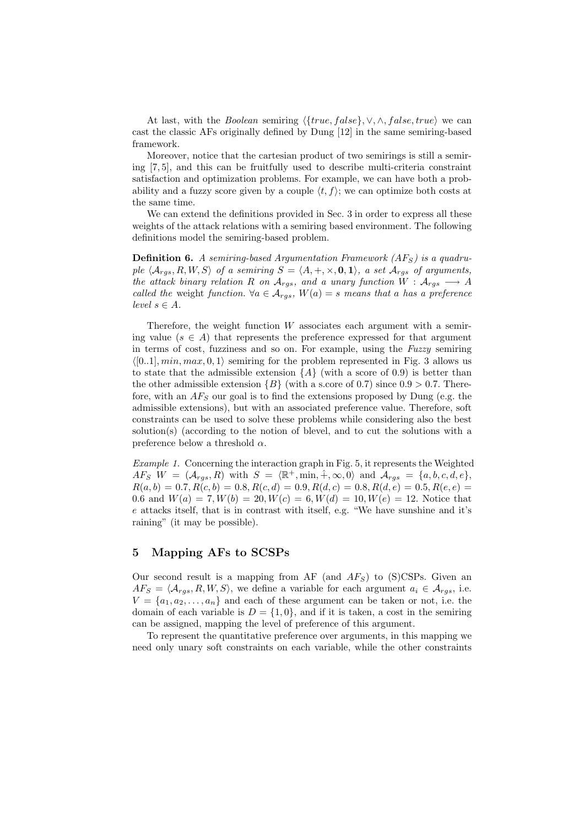At last, with the *Boolean* semiring  $\{true, false\}, \vee, \wedge, false, true\}$  we can cast the classic AFs originally defined by Dung [12] in the same semiring-based framework.

Moreover, notice that the cartesian product of two semirings is still a semiring [7, 5], and this can be fruitfully used to describe multi-criteria constraint satisfaction and optimization problems. For example, we can have both a probability and a fuzzy score given by a couple  $\langle t, f \rangle$ ; we can optimize both costs at the same time.

We can extend the definitions provided in Sec. 3 in order to express all these weights of the attack relations with a semiring based environment. The following definitions model the semiring-based problem.

**Definition 6.** A semiring-based Argumentation Framework  $(AF_S)$  is a quadruple  $\langle \mathcal{A}_{rgs}, R, W, S \rangle$  of a semiring  $S = \langle A, +, \times, \mathbf{0}, \mathbf{1} \rangle$ , a set  $\mathcal{A}_{rgs}$  of arguments, the attack binary relation R on  $A_{rgs}$ , and a unary function  $W : A_{rgs} \longrightarrow A$ called the weight function.  $\forall a \in \mathcal{A}_{ras}$ ,  $W(a) = s$  means that a has a preference level  $s \in A$ .

Therefore, the weight function  $W$  associates each argument with a semiring value  $(s \in A)$  that represents the preference expressed for that argument in terms of cost, fuzziness and so on. For example, using the Fuzzy semiring  $\langle [0..1], min, max, 0, 1 \rangle$  semiring for the problem represented in Fig. 3 allows us to state that the admissible extension  ${A}$  (with a score of 0.9) is better than the other admissible extension  ${B}$  (with a s.core of 0.7) since  $0.9 > 0.7$ . Therefore, with an  $AF_S$  our goal is to find the extensions proposed by Dung (e.g. the admissible extensions), but with an associated preference value. Therefore, soft constraints can be used to solve these problems while considering also the best solution(s) (according to the notion of blevel, and to cut the solutions with a preference below a threshold  $\alpha$ .

Example 1. Concerning the interaction graph in Fig. 5, it represents the Weighted  $AF_S W = (\mathcal{A}_{rgs}, R)$  with  $S = \langle \mathbb{R}^+, \min, \hat{+}, \infty, 0 \rangle$  and  $\mathcal{A}_{rgs} = \{a, b, c, d, e\},$  $R(a, b) = 0.7, R(c, b) = 0.8, R(c, d) = 0.9, R(d, c) = 0.8, R(d, e) = 0.5, R(e, e) =$ 0.6 and  $W(a) = 7, W(b) = 20, W(c) = 6, W(d) = 10, W(e) = 12$ . Notice that e attacks itself, that is in contrast with itself, e.g. "We have sunshine and it's raining" (it may be possible).

# 5 Mapping AFs to SCSPs

Our second result is a mapping from AF (and  $AF<sub>S</sub>$ ) to (S)CSPs. Given an  $AF_S = \langle A_{rgs}, R, W, S \rangle$ , we define a variable for each argument  $a_i \in A_{rgs}$ , i.e.  $V = \{a_1, a_2, \ldots, a_n\}$  and each of these argument can be taken or not, i.e. the domain of each variable is  $D = \{1, 0\}$ , and if it is taken, a cost in the semiring can be assigned, mapping the level of preference of this argument.

To represent the quantitative preference over arguments, in this mapping we need only unary soft constraints on each variable, while the other constraints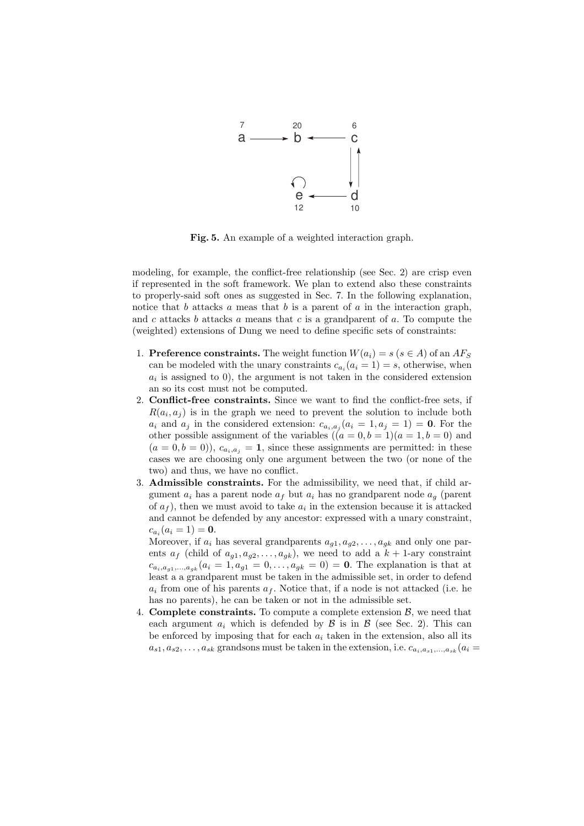

Fig. 5. An example of a weighted interaction graph.

modeling, for example, the conflict-free relationship (see Sec. 2) are crisp even if represented in the soft framework. We plan to extend also these constraints to properly-said soft ones as suggested in Sec. 7. In the following explanation, notice that b attacks a meas that b is a parent of a in the interaction graph, and c attacks b attacks a means that c is a grandparent of a. To compute the (weighted) extensions of Dung we need to define specific sets of constraints:

- 1. Preference constraints. The weight function  $W(a_i) = s (s \in A)$  of an  $AF_S$ can be modeled with the unary constraints  $c_{a_i}(a_i = 1) = s$ , otherwise, when  $a_i$  is assigned to 0), the argument is not taken in the considered extension an so its cost must not be computed.
- 2. Conflict-free constraints. Since we want to find the conflict-free sets, if  $R(a_i, a_j)$  is in the graph we need to prevent the solution to include both  $a_i$  and  $a_j$  in the considered extension:  $c_{a_i,a_j}(a_i = 1, a_j = 1) = 0$ . For the other possible assignment of the variables  $((a = 0, b = 1)(a = 1, b = 0)$  and  $(a = 0, b = 0)$ ,  $c_{a_i, a_j} = 1$ , since these assignments are permitted: in these cases we are choosing only one argument between the two (or none of the two) and thus, we have no conflict.
- 3. Admissible constraints. For the admissibility, we need that, if child argument  $a_i$  has a parent node  $a_f$  but  $a_i$  has no grandparent node  $a_g$  (parent of  $a<sub>f</sub>$ ), then we must avoid to take  $a<sub>i</sub>$  in the extension because it is attacked and cannot be defended by any ancestor: expressed with a unary constraint,  $c_{a_i}(a_i=1)=\mathbf{0}.$

Moreover, if  $a_i$  has several grandparents  $a_{g1}, a_{g2}, \ldots, a_{gk}$  and only one parents  $a_f$  (child of  $a_{g1}, a_{g2}, \ldots, a_{gk}$ ), we need to add a  $k + 1$ -ary constraint  $c_{a_i,a_{q1},...,a_{qk}}(a_i = 1, a_{q1} = 0,..., a_{qk} = 0) = \mathbf{0}$ . The explanation is that at least a a grandparent must be taken in the admissible set, in order to defend  $a_i$  from one of his parents  $a_f$ . Notice that, if a node is not attacked (i.e. he has no parents), he can be taken or not in the admissible set.

4. **Complete constraints.** To compute a complete extension  $\mathcal{B}$ , we need that each argument  $a_i$  which is defended by  $\beta$  is in  $\beta$  (see Sec. 2). This can be enforced by imposing that for each  $a_i$  taken in the extension, also all its  $a_{s1}, a_{s2}, \ldots, a_{sk}$  grandsons must be taken in the extension, i.e.  $c_{a_i, a_{s1}, \ldots, a_{sk}} (a_i =$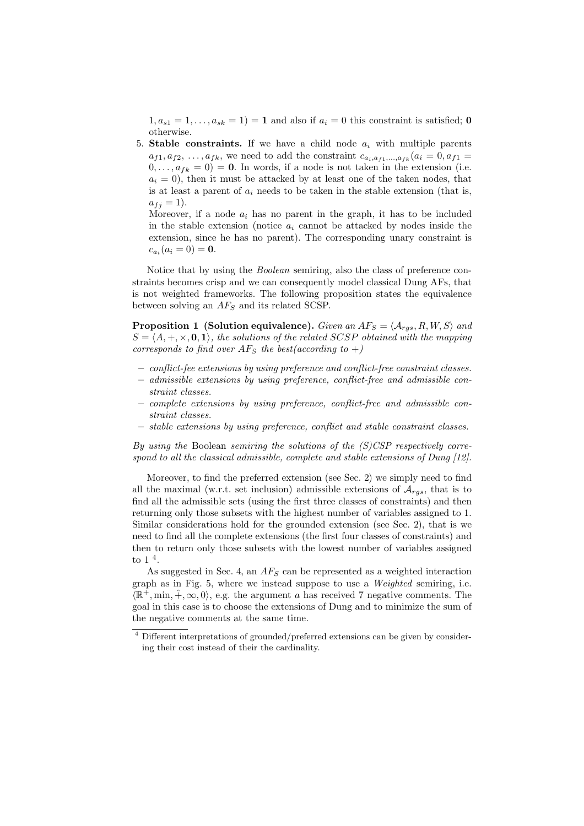$1, a_{s1} = 1, \ldots, a_{sk} = 1$  = 1 and also if  $a_i = 0$  this constraint is satisfied; 0 otherwise.

5. Stable constraints. If we have a child node  $a_i$  with multiple parents  $a_{f1}, a_{f2}, \ldots, a_{fk}$ , we need to add the constraint  $c_{a_i, a_{f1}, \ldots, a_{fk}} (a_i = 0, a_{f1} = 0)$  $(0, \ldots, a_{fk} = 0) = 0$ . In words, if a node is not taken in the extension (i.e.  $a_i = 0$ , then it must be attacked by at least one of the taken nodes, that is at least a parent of  $a_i$  needs to be taken in the stable extension (that is,  $a_{f_i} = 1$ .

Moreover, if a node  $a_i$  has no parent in the graph, it has to be included in the stable extension (notice  $a_i$  cannot be attacked by nodes inside the extension, since he has no parent). The corresponding unary constraint is  $c_{a_i}(a_i = 0) = 0.$ 

Notice that by using the Boolean semiring, also the class of preference constraints becomes crisp and we can consequently model classical Dung AFs, that is not weighted frameworks. The following proposition states the equivalence between solving an  $AF_S$  and its related SCSP.

**Proposition 1 (Solution equivalence).** Given an  $AF_S = \langle A_{rqs}, R, W, S \rangle$  and  $S = \langle A, +, \times, \mathbf{0}, \mathbf{1} \rangle$ , the solutions of the related SCSP obtained with the mapping corresponds to find over  $AF<sub>S</sub>$  the best(according to +)

- conflict-fee extensions by using preference and conflict-free constraint classes.
- admissible extensions by using preference, conflict-free and admissible constraint classes.
- complete extensions by using preference, conflict-free and admissible constraint classes.
- stable extensions by using preference, conflict and stable constraint classes.

By using the Boolean semiring the solutions of the  $(S)CSP$  respectively correspond to all the classical admissible, complete and stable extensions of Dung [12].

Moreover, to find the preferred extension (see Sec. 2) we simply need to find all the maximal (w.r.t. set inclusion) admissible extensions of  $A_{rqs}$ , that is to find all the admissible sets (using the first three classes of constraints) and then returning only those subsets with the highest number of variables assigned to 1. Similar considerations hold for the grounded extension (see Sec. 2), that is we need to find all the complete extensions (the first four classes of constraints) and then to return only those subsets with the lowest number of variables assigned to  $1<sup>4</sup>$ .

As suggested in Sec. 4, an  $AF_S$  can be represented as a weighted interaction graph as in Fig. 5, where we instead suppose to use a Weighted semiring, i.e.  $\langle \mathbb{R}^+, \min, \hat{+}, \infty, 0 \rangle$ , e.g. the argument a has received 7 negative comments. The goal in this case is to choose the extensions of Dung and to minimize the sum of the negative comments at the same time.

<sup>&</sup>lt;sup>4</sup> Different interpretations of grounded/preferred extensions can be given by considering their cost instead of their the cardinality.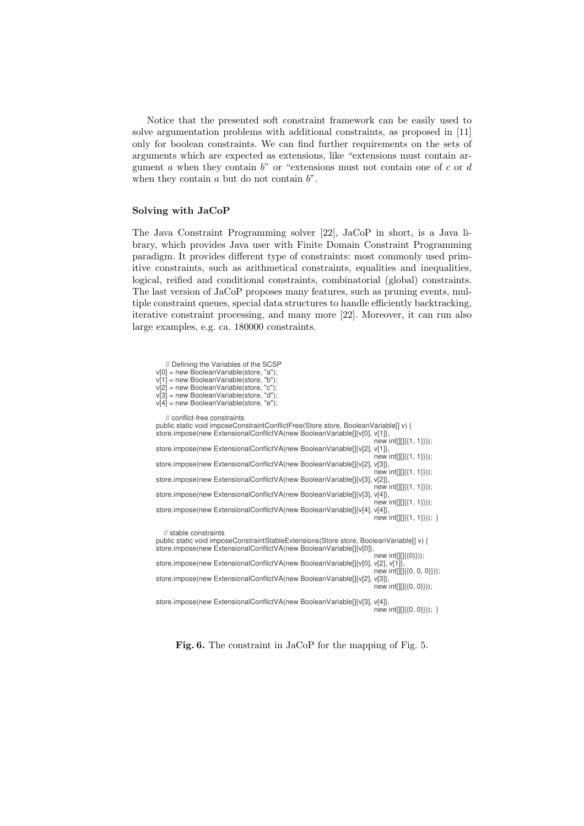Notice that the presented soft constraint framework can be easily used to solve argumentation problems with additional constraints, as proposed in [11] only for boolean constraints. We can find further requirements on the sets of arguments which are expected as extensions, like "extensions must contain argument a when they contain b" or "extensions must not contain one of c or  $d$ when they contain  $a$  but do not contain  $b$ ".

### Solving with JaCoP

The Java Constraint Programming solver [22], JaCoP in short, is a Java library, which provides Java user with Finite Domain Constraint Programming paradigm. It provides different type of constraints: most commonly used primitive constraints, such as arithmetical constraints, equalities and inequalities, logical, reified and conditional constraints, combinatorial (global) constraints. The last version of JaCoP proposes many features, such as pruning events, multiple constraint queues, special data structures to handle efficiently backtracking, iterative constraint processing, and many more [22]. Moreover, it can run also large examples, e.g. ca. 180000 constraints.

| // Defining the Variables of the SCSP<br>$v[0]$ = new BooleanVariable(store, "a");<br>$v[1]$ = new BooleanVariable(store, "b");<br>$v[2]$ = new BooleanVariable(store, "c");<br>$v[3]$ = new BooleanVariable(store, "d");<br>$v[4]$ = new BooleanVariable(store, "e");     |                                                           |
|----------------------------------------------------------------------------------------------------------------------------------------------------------------------------------------------------------------------------------------------------------------------------|-----------------------------------------------------------|
| // conflict-free constraints<br>public static void imposeConstraintConflictFree(Store store, BooleanVariable[] v) {<br>store.impose(new ExtensionalConflictVA(new BooleanVariable[]{v[0], v[1]},                                                                           | new $int[$ [[{{1, 1}}});                                  |
| store.impose(new ExtensionalConflictVA(new BooleanVariable[]{v[2], v[1]},                                                                                                                                                                                                  | $new int[$ [[ $(1, 1)$ ]);                                |
| store.impose(new ExtensionalConflictVA(new BooleanVariable[]{v[2], v[3]},                                                                                                                                                                                                  | $new int[111(1, 1)]$ );                                   |
| store.impose(new ExtensionalConflictVA(new BooleanVariable[]{v[3], v[2]},                                                                                                                                                                                                  |                                                           |
| store.impose(new ExtensionalConflictVA(new BooleanVariable[]{v[3], v[4]},                                                                                                                                                                                                  | new int[][]{{1, 1}}));                                    |
| store.impose(new ExtensionalConflictVA(new BooleanVariable[]{v[4], v[4]},                                                                                                                                                                                                  | new $int[$ [[{{1, 1}}});<br>new int[][] $\{(1, 1)\})$ ; } |
| // stable constraints<br>public static void imposeConstraintStableExtensions(Store store, BooleanVariable[] v) {<br>store.impose(new ExtensionalConflictVA(new BooleanVariable[]{v[0]},<br>store.impose(new ExtensionalConflictVA(new BooleanVariable[]{v[0], v[2], v[1]}, | $new int[$ [ $(0)$ });                                    |
| store.impose(new ExtensionalConflictVA(new BooleanVariable[]{v[2], v[3]},                                                                                                                                                                                                  | new int[][]{{0, 0, 0}}));<br>new int[][]{{0, 0}}));       |
| store.impose(new ExtensionalConflictVA(new BooleanVariable[]{v[3], v[4]},                                                                                                                                                                                                  | new int[][] $\{(0, 0)\})$ ; }                             |

Fig. 6. The constraint in JaCoP for the mapping of Fig. 5.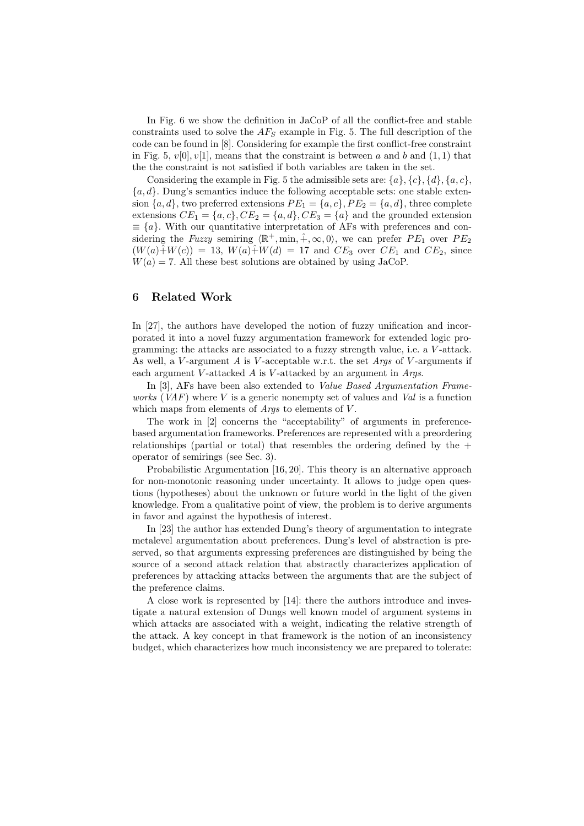In Fig. 6 we show the definition in JaCoP of all the conflict-free and stable constraints used to solve the  $AF_S$  example in Fig. 5. The full description of the code can be found in [8]. Considering for example the first conflict-free constraint in Fig. 5,  $v[0], v[1]$ , means that the constraint is between a and b and  $(1, 1)$  that the the constraint is not satisfied if both variables are taken in the set.

Considering the example in Fig. 5 the admissible sets are:  $\{a\}$ ,  $\{c\}$ ,  $\{d\}$ ,  $\{a, c\}$ ,  ${a, d}$ . Dung's semantics induce the following acceptable sets: one stable extension  $\{a, d\}$ , two preferred extensions  $PE_1 = \{a, c\}$ ,  $PE_2 = \{a, d\}$ , three complete extensions  $CE_1 = \{a, c\}, CE_2 = \{a, d\}, CE_3 = \{a\}$  and the grounded extension  $\equiv \{a\}$ . With our quantitative interpretation of AFs with preferences and considering the Fuzzy semiring  $\langle \mathbb{R}^+, \min, \hat{+}, \infty, 0 \rangle$ , we can prefer  $PE_1$  over  $PE_2$  $(W(a) + W(c)) = 13$ ,  $W(a) + W(d) = 17$  and  $CE_3$  over  $CE_1$  and  $CE_2$ , since  $W(a) = 7$ . All these best solutions are obtained by using JaCoP.

# 6 Related Work

In [27], the authors have developed the notion of fuzzy unification and incorporated it into a novel fuzzy argumentation framework for extended logic programming: the attacks are associated to a fuzzy strength value, i.e. a V -attack. As well, a V-argument A is V-acceptable w.r.t. the set Args of V-arguments if each argument V-attacked  $A$  is V-attacked by an argument in  $Arqs$ .

In [3], AFs have been also extended to Value Based Argumentation Frame*works* ( $VAF$ ) where V is a generic nonempty set of values and  $Val$  is a function which maps from elements of  $Args$  to elements of  $V$ .

The work in [2] concerns the "acceptability" of arguments in preferencebased argumentation frameworks. Preferences are represented with a preordering relationships (partial or total) that resembles the ordering defined by the + operator of semirings (see Sec. 3).

Probabilistic Argumentation [16, 20]. This theory is an alternative approach for non-monotonic reasoning under uncertainty. It allows to judge open questions (hypotheses) about the unknown or future world in the light of the given knowledge. From a qualitative point of view, the problem is to derive arguments in favor and against the hypothesis of interest.

In [23] the author has extended Dung's theory of argumentation to integrate metalevel argumentation about preferences. Dung's level of abstraction is preserved, so that arguments expressing preferences are distinguished by being the source of a second attack relation that abstractly characterizes application of preferences by attacking attacks between the arguments that are the subject of the preference claims.

A close work is represented by [14]: there the authors introduce and investigate a natural extension of Dungs well known model of argument systems in which attacks are associated with a weight, indicating the relative strength of the attack. A key concept in that framework is the notion of an inconsistency budget, which characterizes how much inconsistency we are prepared to tolerate: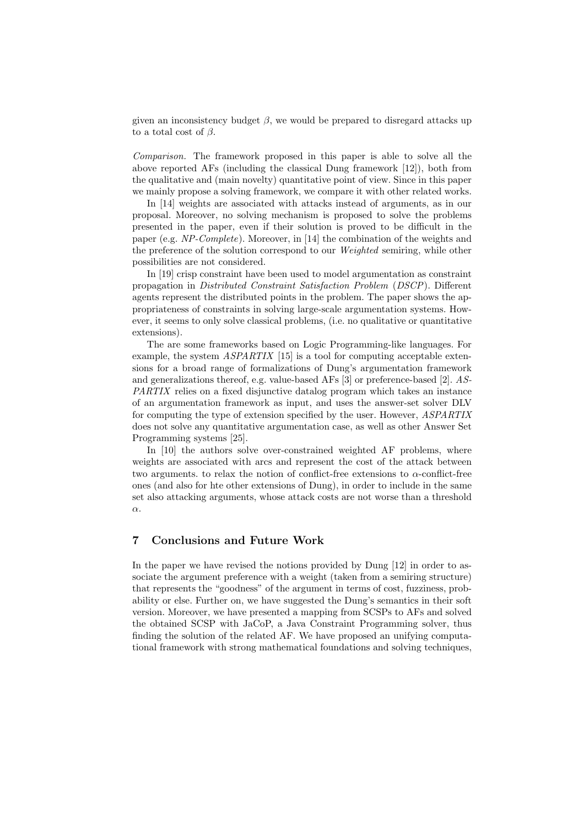given an inconsistency budget  $\beta$ , we would be prepared to disregard attacks up to a total cost of  $\beta$ .

Comparison. The framework proposed in this paper is able to solve all the above reported AFs (including the classical Dung framework [12]), both from the qualitative and (main novelty) quantitative point of view. Since in this paper we mainly propose a solving framework, we compare it with other related works.

In [14] weights are associated with attacks instead of arguments, as in our proposal. Moreover, no solving mechanism is proposed to solve the problems presented in the paper, even if their solution is proved to be difficult in the paper (e.g. NP-Complete). Moreover, in [14] the combination of the weights and the preference of the solution correspond to our Weighted semiring, while other possibilities are not considered.

In [19] crisp constraint have been used to model argumentation as constraint propagation in Distributed Constraint Satisfaction Problem (DSCP). Different agents represent the distributed points in the problem. The paper shows the appropriateness of constraints in solving large-scale argumentation systems. However, it seems to only solve classical problems, (i.e. no qualitative or quantitative extensions).

The are some frameworks based on Logic Programming-like languages. For example, the system ASPARTIX [15] is a tool for computing acceptable extensions for a broad range of formalizations of Dung's argumentation framework and generalizations thereof, e.g. value-based AFs [3] or preference-based [2]. AS-PARTIX relies on a fixed disjunctive datalog program which takes an instance of an argumentation framework as input, and uses the answer-set solver DLV for computing the type of extension specified by the user. However, ASPARTIX does not solve any quantitative argumentation case, as well as other Answer Set Programming systems [25].

In [10] the authors solve over-constrained weighted AF problems, where weights are associated with arcs and represent the cost of the attack between two arguments. to relax the notion of conflict-free extensions to α-conflict-free ones (and also for hte other extensions of Dung), in order to include in the same set also attacking arguments, whose attack costs are not worse than a threshold α.

### 7 Conclusions and Future Work

In the paper we have revised the notions provided by Dung [12] in order to associate the argument preference with a weight (taken from a semiring structure) that represents the "goodness" of the argument in terms of cost, fuzziness, probability or else. Further on, we have suggested the Dung's semantics in their soft version. Moreover, we have presented a mapping from SCSPs to AFs and solved the obtained SCSP with JaCoP, a Java Constraint Programming solver, thus finding the solution of the related AF. We have proposed an unifying computational framework with strong mathematical foundations and solving techniques,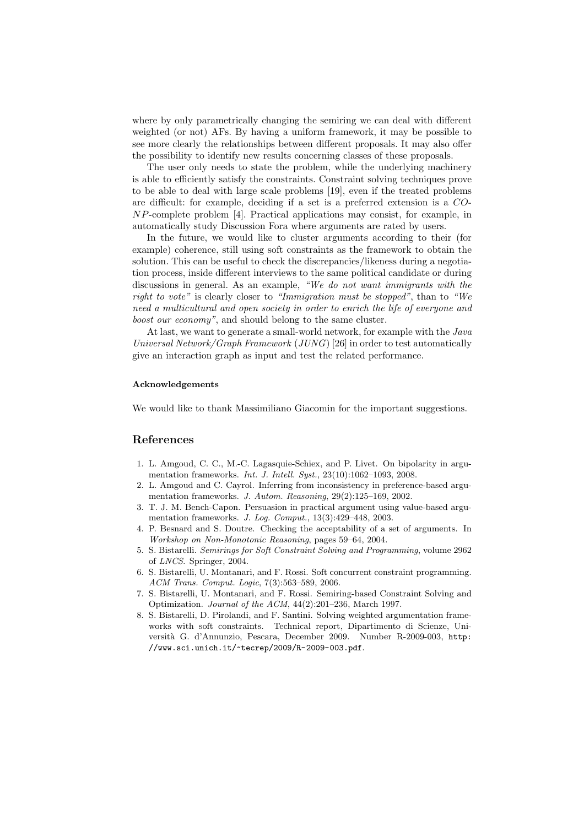where by only parametrically changing the semiring we can deal with different weighted (or not) AFs. By having a uniform framework, it may be possible to see more clearly the relationships between different proposals. It may also offer the possibility to identify new results concerning classes of these proposals.

The user only needs to state the problem, while the underlying machinery is able to efficiently satisfy the constraints. Constraint solving techniques prove to be able to deal with large scale problems [19], even if the treated problems are difficult: for example, deciding if a set is a preferred extension is a CO-NP-complete problem [4]. Practical applications may consist, for example, in automatically study Discussion Fora where arguments are rated by users.

In the future, we would like to cluster arguments according to their (for example) coherence, still using soft constraints as the framework to obtain the solution. This can be useful to check the discrepancies/likeness during a negotiation process, inside different interviews to the same political candidate or during discussions in general. As an example, "We do not want immigrants with the right to vote" is clearly closer to "Immigration must be stopped", than to "We need a multicultural and open society in order to enrich the life of everyone and boost our economy", and should belong to the same cluster.

At last, we want to generate a small-world network, for example with the Java Universal Network/Graph Framework (JUNG) [26] in order to test automatically give an interaction graph as input and test the related performance.

#### Acknowledgements

We would like to thank Massimiliano Giacomin for the important suggestions.

### References

- 1. L. Amgoud, C. C., M.-C. Lagasquie-Schiex, and P. Livet. On bipolarity in argumentation frameworks. Int. J. Intell. Syst., 23(10):1062–1093, 2008.
- 2. L. Amgoud and C. Cayrol. Inferring from inconsistency in preference-based argumentation frameworks. J. Autom. Reasoning, 29(2):125–169, 2002.
- 3. T. J. M. Bench-Capon. Persuasion in practical argument using value-based argumentation frameworks. J. Log. Comput., 13(3):429–448, 2003.
- 4. P. Besnard and S. Doutre. Checking the acceptability of a set of arguments. In Workshop on Non-Monotonic Reasoning, pages 59–64, 2004.
- 5. S. Bistarelli. Semirings for Soft Constraint Solving and Programming, volume 2962 of LNCS. Springer, 2004.
- 6. S. Bistarelli, U. Montanari, and F. Rossi. Soft concurrent constraint programming. ACM Trans. Comput. Logic, 7(3):563–589, 2006.
- 7. S. Bistarelli, U. Montanari, and F. Rossi. Semiring-based Constraint Solving and Optimization. Journal of the ACM, 44(2):201–236, March 1997.
- 8. S. Bistarelli, D. Pirolandi, and F. Santini. Solving weighted argumentation frameworks with soft constraints. Technical report, Dipartimento di Scienze, Università G. d'Annunzio, Pescara, December 2009. Number R-2009-003, http: //www.sci.unich.it/~tecrep/2009/R-2009-003.pdf.